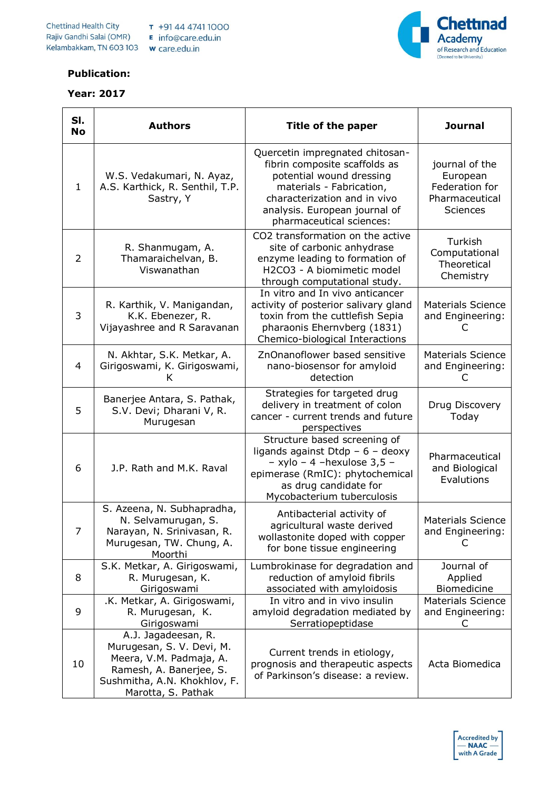

## **Publication:**

## **Year: 2017**

| SI.<br><b>No</b> | <b>Authors</b>                                                                                                                                               | Title of the paper                                                                                                                                                                                                    | <b>Journal</b>                                                                    |
|------------------|--------------------------------------------------------------------------------------------------------------------------------------------------------------|-----------------------------------------------------------------------------------------------------------------------------------------------------------------------------------------------------------------------|-----------------------------------------------------------------------------------|
| $\mathbf{1}$     | W.S. Vedakumari, N. Ayaz,<br>A.S. Karthick, R. Senthil, T.P.<br>Sastry, Y                                                                                    | Quercetin impregnated chitosan-<br>fibrin composite scaffolds as<br>potential wound dressing<br>materials - Fabrication,<br>characterization and in vivo<br>analysis. European journal of<br>pharmaceutical sciences: | journal of the<br>European<br>Federation for<br>Pharmaceutical<br><b>Sciences</b> |
| 2                | R. Shanmugam, A.<br>Thamaraichelvan, B.<br>Viswanathan                                                                                                       | CO2 transformation on the active<br>site of carbonic anhydrase<br>enzyme leading to formation of<br>H2CO3 - A biomimetic model<br>through computational study.                                                        | Turkish<br>Computational<br>Theoretical<br>Chemistry                              |
| 3                | R. Karthik, V. Manigandan,<br>K.K. Ebenezer, R.<br>Vijayashree and R Saravanan                                                                               | In vitro and In vivo anticancer<br>activity of posterior salivary gland<br>toxin from the cuttlefish Sepia<br>pharaonis Ehernvberg (1831)<br>Chemico-biological Interactions                                          | <b>Materials Science</b><br>and Engineering:                                      |
| 4                | N. Akhtar, S.K. Metkar, A.<br>Girigoswami, K. Girigoswami,<br>Κ                                                                                              | ZnOnanoflower based sensitive<br>nano-biosensor for amyloid<br>detection                                                                                                                                              | <b>Materials Science</b><br>and Engineering:<br>C                                 |
| 5                | Banerjee Antara, S. Pathak,<br>S.V. Devi; Dharani V, R.<br>Murugesan                                                                                         | Strategies for targeted drug<br>delivery in treatment of colon<br>cancer - current trends and future<br>perspectives                                                                                                  | Drug Discovery<br>Today                                                           |
| 6                | J.P. Rath and M.K. Raval                                                                                                                                     | Structure based screening of<br>ligands against Dtdp $-6 -$ deoxy<br>- xylo - 4 -hexulose 3,5 -<br>epimerase (RmIC): phytochemical<br>as drug candidate for<br>Mycobacterium tuberculosis                             | Pharmaceutical<br>and Biological<br>Evalutions                                    |
| $\prime$         | S. Azeena, N. Subhapradha,<br>N. Selvamurugan, S.<br>Narayan, N. Srinivasan, R.<br>Murugesan, TW. Chung, A.<br>Moorthi                                       | Antibacterial activity of<br>agricultural waste derived<br>wollastonite doped with copper<br>for bone tissue engineering                                                                                              | <b>Materials Science</b><br>and Engineering:<br>C                                 |
| 8                | S.K. Metkar, A. Girigoswami,<br>R. Murugesan, K.<br>Girigoswami                                                                                              | Lumbrokinase for degradation and<br>reduction of amyloid fibrils<br>associated with amyloidosis                                                                                                                       | Journal of<br>Applied<br>Biomedicine                                              |
| 9                | .K. Metkar, A. Girigoswami,<br>R. Murugesan, K.<br>Girigoswami                                                                                               | In vitro and in vivo insulin<br>amyloid degradation mediated by<br>Serratiopeptidase                                                                                                                                  | <b>Materials Science</b><br>and Engineering:<br>C                                 |
| 10               | A.J. Jagadeesan, R.<br>Murugesan, S. V. Devi, M.<br>Meera, V.M. Padmaja, A.<br>Ramesh, A. Banerjee, S.<br>Sushmitha, A.N. Khokhlov, F.<br>Marotta, S. Pathak | Current trends in etiology,<br>prognosis and therapeutic aspects<br>of Parkinson's disease: a review.                                                                                                                 | Acta Biomedica                                                                    |

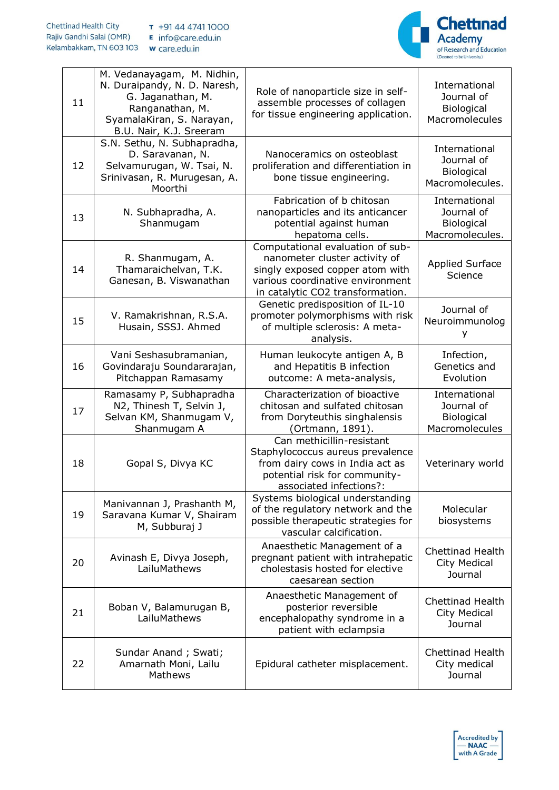

| 11 | M. Vedanayagam, M. Nidhin,<br>N. Duraipandy, N. D. Naresh,<br>G. Jaganathan, M.<br>Ranganathan, M.<br>SyamalaKiran, S. Narayan,<br>B.U. Nair, K.J. Sreeram | Role of nanoparticle size in self-<br>assemble processes of collagen<br>for tissue engineering application.                                                                  | International<br>Journal of<br><b>Biological</b><br>Macromolecules  |
|----|------------------------------------------------------------------------------------------------------------------------------------------------------------|------------------------------------------------------------------------------------------------------------------------------------------------------------------------------|---------------------------------------------------------------------|
| 12 | S.N. Sethu, N. Subhapradha,<br>D. Saravanan, N.<br>Selvamurugan, W. Tsai, N.<br>Srinivasan, R. Murugesan, A.<br>Moorthi                                    | Nanoceramics on osteoblast<br>proliferation and differentiation in<br>bone tissue engineering.                                                                               | International<br>Journal of<br>Biological<br>Macromolecules.        |
| 13 | N. Subhapradha, A.<br>Shanmugam                                                                                                                            | Fabrication of b chitosan<br>nanoparticles and its anticancer<br>potential against human<br>hepatoma cells.                                                                  | International<br>Journal of<br><b>Biological</b><br>Macromolecules. |
| 14 | R. Shanmugam, A.<br>Thamaraichelvan, T.K.<br>Ganesan, B. Viswanathan                                                                                       | Computational evaluation of sub-<br>nanometer cluster activity of<br>singly exposed copper atom with<br>various coordinative environment<br>in catalytic CO2 transformation. | <b>Applied Surface</b><br>Science                                   |
| 15 | V. Ramakrishnan, R.S.A.<br>Husain, SSSJ. Ahmed                                                                                                             | Genetic predisposition of IL-10<br>promoter polymorphisms with risk<br>of multiple sclerosis: A meta-<br>analysis.                                                           | Journal of<br>Neuroimmunolog<br>У                                   |
| 16 | Vani Seshasubramanian,<br>Govindaraju Soundararajan,<br>Pitchappan Ramasamy                                                                                | Human leukocyte antigen A, B<br>and Hepatitis B infection<br>outcome: A meta-analysis,                                                                                       | Infection,<br>Genetics and<br>Evolution                             |
| 17 | Ramasamy P, Subhapradha<br>N2, Thinesh T, Selvin J,<br>Selvan KM, Shanmugam V,<br>Shanmugam A                                                              | Characterization of bioactive<br>chitosan and sulfated chitosan<br>from Doryteuthis singhalensis<br>(Ortmann, 1891).                                                         | International<br>Journal of<br>Biological<br>Macromolecules         |
| 18 | Gopal S, Divya KC                                                                                                                                          | Can methicillin-resistant<br>Staphylococcus aureus prevalence<br>from dairy cows in India act as<br>potential risk for community-<br>associated infections?:                 | Veterinary world                                                    |
| 19 | Manivannan J, Prashanth M,<br>Saravana Kumar V, Shairam<br>M, Subburaj J                                                                                   | Systems biological understanding<br>of the regulatory network and the<br>possible therapeutic strategies for<br>vascular calcification.                                      | Molecular<br>biosystems                                             |
| 20 | Avinash E, Divya Joseph,<br>LailuMathews                                                                                                                   | Anaesthetic Management of a<br>pregnant patient with intrahepatic<br>cholestasis hosted for elective<br>caesarean section                                                    | <b>Chettinad Health</b><br>City Medical<br>Journal                  |
| 21 | Boban V, Balamurugan B,<br>LailuMathews                                                                                                                    | Anaesthetic Management of<br>posterior reversible<br>encephalopathy syndrome in a<br>patient with eclampsia                                                                  | <b>Chettinad Health</b><br>City Medical<br>Journal                  |
| 22 | Sundar Anand; Swati;<br>Amarnath Moni, Lailu<br>Mathews                                                                                                    | Epidural catheter misplacement.                                                                                                                                              | <b>Chettinad Health</b><br>City medical<br>Journal                  |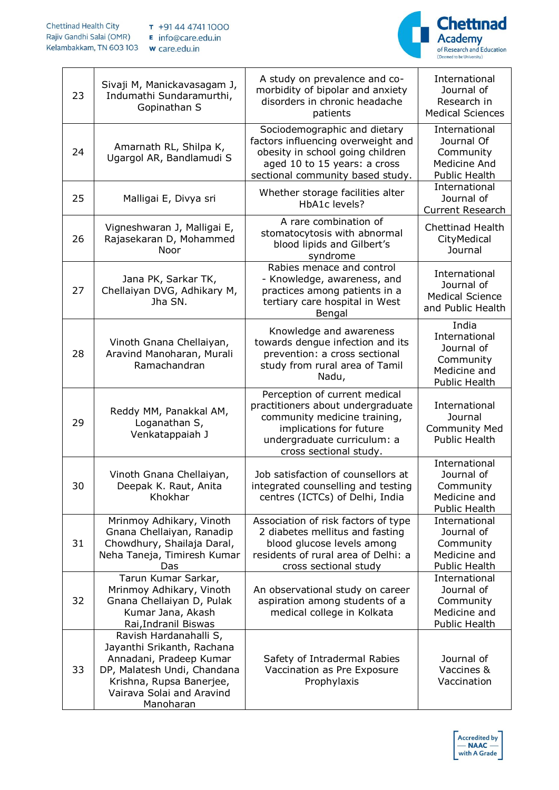

| 23 | Sivaji M, Manickavasagam J,<br>Indumathi Sundaramurthi,<br>Gopinathan S                                                                                                              | A study on prevalence and co-<br>morbidity of bipolar and anxiety<br>disorders in chronic headache<br>patients                                                                         | International<br>Journal of<br>Research in<br><b>Medical Sciences</b>              |
|----|--------------------------------------------------------------------------------------------------------------------------------------------------------------------------------------|----------------------------------------------------------------------------------------------------------------------------------------------------------------------------------------|------------------------------------------------------------------------------------|
| 24 | Amarnath RL, Shilpa K,<br>Ugargol AR, Bandlamudi S                                                                                                                                   | Sociodemographic and dietary<br>factors influencing overweight and<br>obesity in school going children<br>aged 10 to 15 years: a cross<br>sectional community based study.             | International<br>Journal Of<br>Community<br>Medicine And<br><b>Public Health</b>   |
| 25 | Malligai E, Divya sri                                                                                                                                                                | Whether storage facilities alter<br>HbA1c levels?                                                                                                                                      | International<br>Journal of<br><b>Current Research</b>                             |
| 26 | Vigneshwaran J, Malligai E,<br>Rajasekaran D, Mohammed<br>Noor                                                                                                                       | A rare combination of<br>stomatocytosis with abnormal<br>blood lipids and Gilbert's<br>syndrome                                                                                        | <b>Chettinad Health</b><br>CityMedical<br>Journal                                  |
| 27 | Jana PK, Sarkar TK,<br>Chellaiyan DVG, Adhikary M,<br>Jha SN.                                                                                                                        | Rabies menace and control<br>- Knowledge, awareness, and<br>practices among patients in a<br>tertiary care hospital in West<br>Bengal                                                  | International<br>Journal of<br><b>Medical Science</b><br>and Public Health         |
| 28 | Vinoth Gnana Chellaiyan,<br>Aravind Manoharan, Murali<br>Ramachandran                                                                                                                | Knowledge and awareness<br>towards dengue infection and its<br>prevention: a cross sectional<br>study from rural area of Tamil<br>Nadu,                                                | India<br>International<br>Journal of<br>Community<br>Medicine and<br>Public Health |
| 29 | Reddy MM, Panakkal AM,<br>Loganathan S,<br>Venkatappaiah J                                                                                                                           | Perception of current medical<br>practitioners about undergraduate<br>community medicine training,<br>implications for future<br>undergraduate curriculum: a<br>cross sectional study. | International<br>Journal<br><b>Community Med</b><br><b>Public Health</b>           |
| 30 | Vinoth Gnana Chellaiyan,<br>Deepak K. Raut, Anita<br>Khokhar                                                                                                                         | Job satisfaction of counsellors at<br>integrated counselling and testing<br>centres (ICTCs) of Delhi, India                                                                            | International<br>Journal of<br>Community<br>Medicine and<br><b>Public Health</b>   |
| 31 | Mrinmoy Adhikary, Vinoth<br>Gnana Chellaiyan, Ranadip<br>Chowdhury, Shailaja Daral,<br>Neha Taneja, Timiresh Kumar<br>Das                                                            | Association of risk factors of type<br>2 diabetes mellitus and fasting<br>blood glucose levels among<br>residents of rural area of Delhi: a<br>cross sectional study                   | International<br>Journal of<br>Community<br>Medicine and<br><b>Public Health</b>   |
| 32 | Tarun Kumar Sarkar,<br>Mrinmoy Adhikary, Vinoth<br>Gnana Chellaiyan D, Pulak<br>Kumar Jana, Akash<br>Rai, Indranil Biswas                                                            | An observational study on career<br>aspiration among students of a<br>medical college in Kolkata                                                                                       | International<br>Journal of<br>Community<br>Medicine and<br>Public Health          |
| 33 | Ravish Hardanahalli S,<br>Jayanthi Srikanth, Rachana<br>Annadani, Pradeep Kumar<br>DP, Malatesh Undi, Chandana<br>Krishna, Rupsa Banerjee,<br>Vairava Solai and Aravind<br>Manoharan | Safety of Intradermal Rabies<br>Vaccination as Pre Exposure<br>Prophylaxis                                                                                                             | Journal of<br>Vaccines &<br>Vaccination                                            |

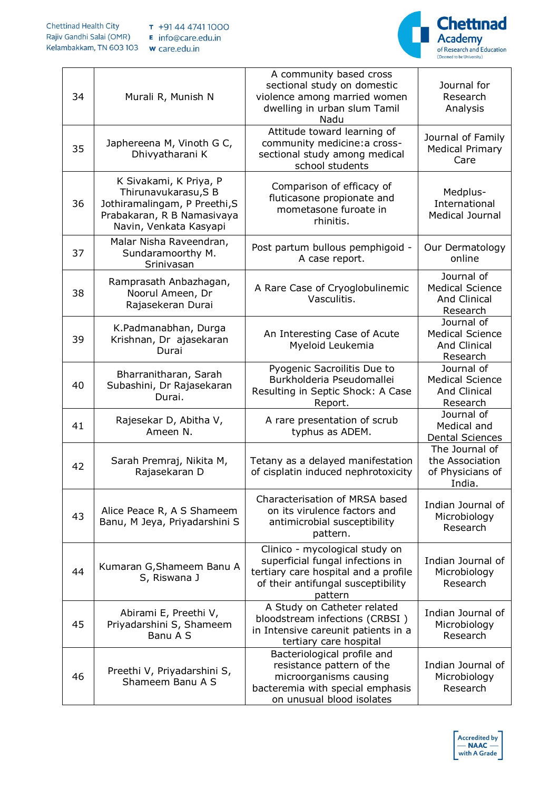

| 34 | Murali R, Munish N                                                                                                                     | A community based cross<br>sectional study on domestic<br>violence among married women<br>dwelling in urban slum Tamil<br>Nadu                              | Journal for<br>Research<br>Analysis                                     |
|----|----------------------------------------------------------------------------------------------------------------------------------------|-------------------------------------------------------------------------------------------------------------------------------------------------------------|-------------------------------------------------------------------------|
| 35 | Japhereena M, Vinoth G C,<br>Dhivyatharani K                                                                                           | Attitude toward learning of<br>community medicine: a cross-<br>sectional study among medical<br>school students                                             | Journal of Family<br><b>Medical Primary</b><br>Care                     |
| 36 | K Sivakami, K Priya, P<br>Thirunavukarasu, SB<br>Jothiramalingam, P Preethi, S<br>Prabakaran, R B Namasivaya<br>Navin, Venkata Kasyapi | Comparison of efficacy of<br>fluticasone propionate and<br>mometasone furoate in<br>rhinitis.                                                               | Medplus-<br>International<br>Medical Journal                            |
| 37 | Malar Nisha Raveendran,<br>Sundaramoorthy M.<br>Srinivasan                                                                             | Post partum bullous pemphigoid -<br>A case report.                                                                                                          | Our Dermatology<br>online                                               |
| 38 | Ramprasath Anbazhagan,<br>Noorul Ameen, Dr<br>Rajasekeran Durai                                                                        | A Rare Case of Cryoglobulinemic<br>Vasculitis.                                                                                                              | Journal of<br><b>Medical Science</b><br><b>And Clinical</b><br>Research |
| 39 | K.Padmanabhan, Durga<br>Krishnan, Dr ajasekaran<br>Durai                                                                               | An Interesting Case of Acute<br>Myeloid Leukemia                                                                                                            | Journal of<br><b>Medical Science</b><br><b>And Clinical</b><br>Research |
| 40 | Bharranitharan, Sarah<br>Subashini, Dr Rajasekaran<br>Durai.                                                                           | Pyogenic Sacroilitis Due to<br>Burkholderia Pseudomallei<br>Resulting in Septic Shock: A Case<br>Report.                                                    | Journal of<br><b>Medical Science</b><br><b>And Clinical</b><br>Research |
| 41 | Rajesekar D, Abitha V,<br>Ameen N.                                                                                                     | A rare presentation of scrub<br>typhus as ADEM.                                                                                                             | Journal of<br>Medical and<br><b>Dental Sciences</b>                     |
| 42 | Sarah Premraj, Nikita M,<br>Rajasekaran D                                                                                              | Tetany as a delayed manifestation<br>of cisplatin induced nephrotoxicity                                                                                    | The Journal of<br>the Association<br>of Physicians of<br>India.         |
| 43 | Alice Peace R, A S Shameem<br>Banu, M Jeya, Priyadarshini S                                                                            | Characterisation of MRSA based<br>on its virulence factors and<br>antimicrobial susceptibility<br>pattern.                                                  | Indian Journal of<br>Microbiology<br>Research                           |
| 44 | Kumaran G, Shameem Banu A<br>S, Riswana J                                                                                              | Clinico - mycological study on<br>superficial fungal infections in<br>tertiary care hospital and a profile<br>of their antifungal susceptibility<br>pattern | Indian Journal of<br>Microbiology<br>Research                           |
| 45 | Abirami E, Preethi V,<br>Priyadarshini S, Shameem<br>Banu A S                                                                          | A Study on Catheter related<br>bloodstream infections (CRBSI)<br>in Intensive careunit patients in a<br>tertiary care hospital                              | Indian Journal of<br>Microbiology<br>Research                           |
| 46 | Preethi V, Priyadarshini S,<br>Shameem Banu A S                                                                                        | Bacteriological profile and<br>resistance pattern of the<br>microorganisms causing<br>bacteremia with special emphasis<br>on unusual blood isolates         | Indian Journal of<br>Microbiology<br>Research                           |

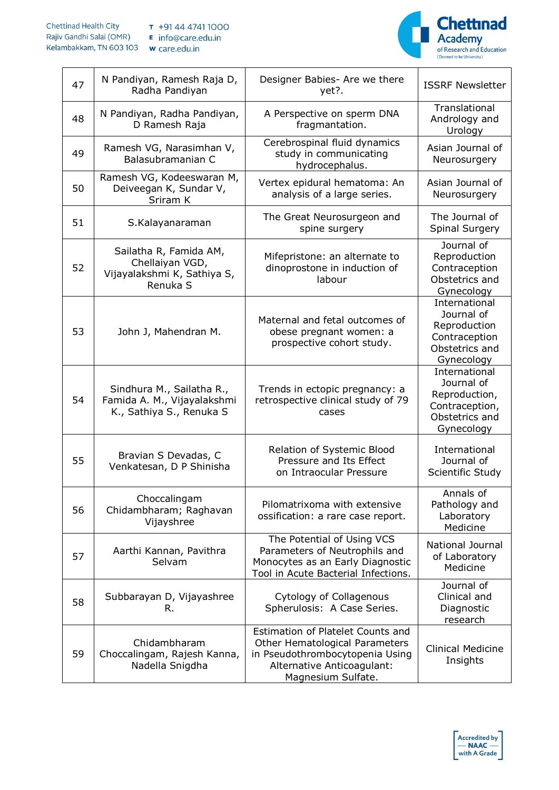

| 47 | N Pandiyan, Ramesh Raja D,<br>Radha Pandiyan                                         | Designer Babies- Are we there<br>yet?.                                                                                                                     | <b>ISSRF Newsletter</b>                                                                        |
|----|--------------------------------------------------------------------------------------|------------------------------------------------------------------------------------------------------------------------------------------------------------|------------------------------------------------------------------------------------------------|
| 48 | N Pandiyan, Radha Pandiyan,<br>D Ramesh Raja                                         | A Perspective on sperm DNA<br>fragmantation.                                                                                                               | Translational<br>Andrology and<br>Urology                                                      |
| 49 | Ramesh VG, Narasimhan V,<br>Balasubramanian C                                        | Cerebrospinal fluid dynamics<br>study in communicating<br>hydrocephalus.                                                                                   | Asian Journal of<br>Neurosurgery                                                               |
| 50 | Ramesh VG, Kodeeswaran M,<br>Deiveegan K, Sundar V,<br>Sriram K                      | Vertex epidural hematoma: An<br>analysis of a large series.                                                                                                | Asian Journal of<br>Neurosurgery                                                               |
| 51 | S.Kalayanaraman                                                                      | The Great Neurosurgeon and<br>spine surgery                                                                                                                | The Journal of<br>Spinal Surgery                                                               |
| 52 | Sailatha R, Famida AM,<br>Chellaiyan VGD,<br>Vijayalakshmi K, Sathiya S,<br>Renuka S | Mifepristone: an alternate to<br>dinoprostone in induction of<br>labour                                                                                    | Journal of<br>Reproduction<br>Contraception<br>Obstetrics and<br>Gynecology                    |
| 53 | John J, Mahendran M.                                                                 | Maternal and fetal outcomes of<br>obese pregnant women: a<br>prospective cohort study.                                                                     | International<br>Journal of<br>Reproduction<br>Contraception<br>Obstetrics and<br>Gynecology   |
| 54 | Sindhura M., Sailatha R.,<br>Famida A. M., Vijayalakshmi<br>K., Sathiya S., Renuka S | Trends in ectopic pregnancy: a<br>retrospective clinical study of 79<br>cases                                                                              | International<br>Journal of<br>Reproduction,<br>Contraception,<br>Obstetrics and<br>Gynecology |
| 55 | Bravian S Devadas, C<br>Venkatesan, D P Shinisha                                     | Relation of Systemic Blood<br>Pressure and Its Effect<br>on Intraocular Pressure                                                                           | International<br>Journal of<br>Scientific Study                                                |
| 56 | Choccalingam<br>Chidambharam; Raghavan<br>Vijayshree                                 | Pilomatrixoma with extensive<br>ossification: a rare case report.                                                                                          | Annals of<br>Pathology and<br>Laboratory<br>Medicine                                           |
| 57 | Aarthi Kannan, Pavithra<br>Selvam                                                    | The Potential of Using VCS<br>Parameters of Neutrophils and<br>Monocytes as an Early Diagnostic<br>Tool in Acute Bacterial Infections.                     | National Journal<br>of Laboratory<br>Medicine                                                  |
| 58 | Subbarayan D, Vijayashree<br>R.                                                      | Cytology of Collagenous<br>Spherulosis: A Case Series.                                                                                                     | Journal of<br>Clinical and<br>Diagnostic<br>research                                           |
| 59 | Chidambharam<br>Choccalingam, Rajesh Kanna,<br>Nadella Snigdha                       | Estimation of Platelet Counts and<br>Other Hematological Parameters<br>in Pseudothrombocytopenia Using<br>Alternative Anticoagulant:<br>Magnesium Sulfate. | <b>Clinical Medicine</b><br>Insights                                                           |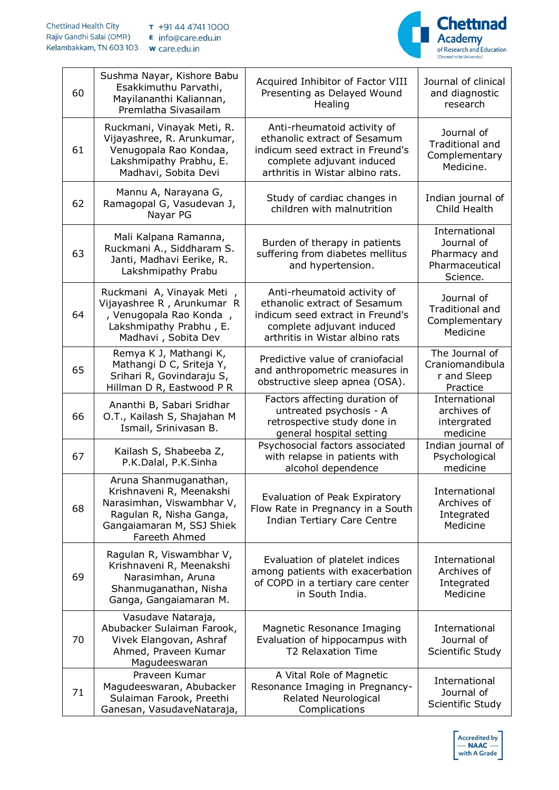

| 60 | Sushma Nayar, Kishore Babu<br>Esakkimuthu Parvathi,<br>Mayilananthi Kaliannan,<br>Premlatha Sivasailam                                                  | Acquired Inhibitor of Factor VIII<br>Presenting as Delayed Wound<br>Healing                                                                                      | Journal of clinical<br>and diagnostic<br>research                         |
|----|---------------------------------------------------------------------------------------------------------------------------------------------------------|------------------------------------------------------------------------------------------------------------------------------------------------------------------|---------------------------------------------------------------------------|
| 61 | Ruckmani, Vinayak Meti, R.<br>Vijayashree, R. Arunkumar,<br>Venugopala Rao Kondaa,<br>Lakshmipathy Prabhu, E.<br>Madhavi, Sobita Devi                   | Anti-rheumatoid activity of<br>ethanolic extract of Sesamum<br>indicum seed extract in Freund's<br>complete adjuvant induced<br>arthritis in Wistar albino rats. | Journal of<br><b>Traditional and</b><br>Complementary<br>Medicine.        |
| 62 | Mannu A, Narayana G,<br>Ramagopal G, Vasudevan J,<br>Nayar PG                                                                                           | Study of cardiac changes in<br>children with malnutrition                                                                                                        | Indian journal of<br>Child Health                                         |
| 63 | Mali Kalpana Ramanna,<br>Ruckmani A., Siddharam S.<br>Janti, Madhavi Eerike, R.<br>Lakshmipathy Prabu                                                   | Burden of therapy in patients<br>suffering from diabetes mellitus<br>and hypertension.                                                                           | International<br>Journal of<br>Pharmacy and<br>Pharmaceutical<br>Science. |
| 64 | Ruckmani A, Vinayak Meti<br>Vijayashree R, Arunkumar R<br>, Venugopala Rao Konda,<br>Lakshmipathy Prabhu, E.<br>Madhavi, Sobita Dev                     | Anti-rheumatoid activity of<br>ethanolic extract of Sesamum<br>indicum seed extract in Freund's<br>complete adjuvant induced<br>arthritis in Wistar albino rats  | Journal of<br>Traditional and<br>Complementary<br>Medicine                |
| 65 | Remya K J, Mathangi K,<br>Mathangi D C, Sriteja Y,<br>Srihari R, Govindaraju S,<br>Hillman D R, Eastwood P R                                            | Predictive value of craniofacial<br>and anthropometric measures in<br>obstructive sleep apnea (OSA).                                                             | The Journal of<br>Craniomandibula<br>r and Sleep<br>Practice              |
| 66 | Ananthi B, Sabari Sridhar<br>O.T., Kailash S, Shajahan M<br>Ismail, Srinivasan B.                                                                       | Factors affecting duration of<br>untreated psychosis - A<br>retrospective study done in<br>general hospital setting                                              | International<br>archives of<br>intergrated<br>medicine                   |
| 67 | Kailash S, Shabeeba Z,<br>P.K.Dalal, P.K.Sinha                                                                                                          | Psychosocial factors associated<br>with relapse in patients with<br>alcohol dependence                                                                           | Indian journal of<br>Psychological<br>medicine                            |
| 68 | Aruna Shanmuganathan,<br>Krishnaveni R, Meenakshi<br>Narasimhan, Viswambhar V,<br>Ragulan R, Nisha Ganga,<br>Gangaiamaran M, SSJ Shiek<br>Fareeth Ahmed | Evaluation of Peak Expiratory<br>Flow Rate in Pregnancy in a South<br><b>Indian Tertiary Care Centre</b>                                                         | International<br>Archives of<br>Integrated<br>Medicine                    |
| 69 | Ragulan R, Viswambhar V,<br>Krishnaveni R, Meenakshi<br>Narasimhan, Aruna<br>Shanmuganathan, Nisha<br>Ganga, Gangaiamaran M.                            | Evaluation of platelet indices<br>among patients with exacerbation<br>of COPD in a tertiary care center<br>in South India.                                       | International<br>Archives of<br>Integrated<br>Medicine                    |
| 70 | Vasudave Nataraja,<br>Abubacker Sulaiman Farook,<br>Vivek Elangovan, Ashraf<br>Ahmed, Praveen Kumar<br>Magudeeswaran                                    | Magnetic Resonance Imaging<br>Evaluation of hippocampus with<br><b>T2 Relaxation Time</b>                                                                        | International<br>Journal of<br>Scientific Study                           |
| 71 | Praveen Kumar<br>Magudeeswaran, Abubacker<br>Sulaiman Farook, Preethi<br>Ganesan, VasudaveNataraja,                                                     | A Vital Role of Magnetic<br>Resonance Imaging in Pregnancy-<br>Related Neurological<br>Complications                                                             | International<br>Journal of<br>Scientific Study                           |

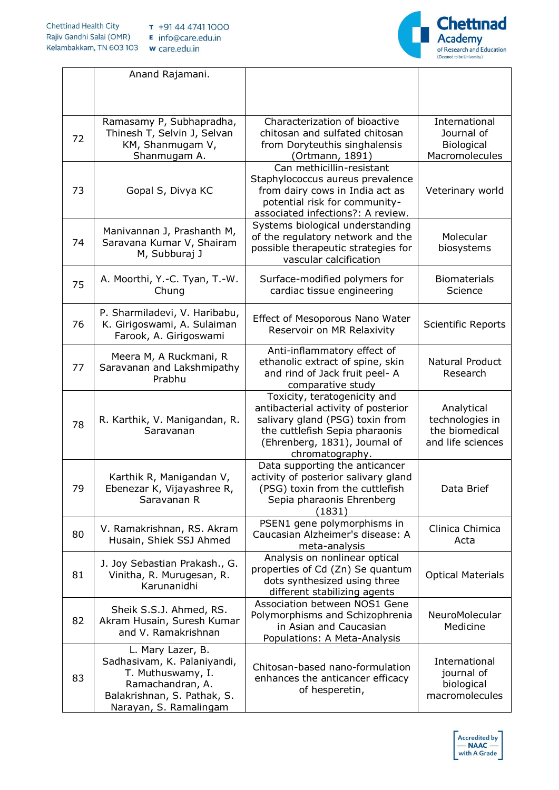

|    | Anand Rajamani.                                                                                                                                    |                                                                                                                                                                                              |                                                                      |
|----|----------------------------------------------------------------------------------------------------------------------------------------------------|----------------------------------------------------------------------------------------------------------------------------------------------------------------------------------------------|----------------------------------------------------------------------|
|    |                                                                                                                                                    |                                                                                                                                                                                              |                                                                      |
| 72 | Ramasamy P, Subhapradha,<br>Thinesh T, Selvin J, Selvan<br>KM, Shanmugam V,<br>Shanmugam A.                                                        | Characterization of bioactive<br>chitosan and sulfated chitosan<br>from Doryteuthis singhalensis<br>(Ortmann, 1891)                                                                          | International<br>Journal of<br>Biological<br>Macromolecules          |
| 73 | Gopal S, Divya KC                                                                                                                                  | Can methicillin-resistant<br>Staphylococcus aureus prevalence<br>from dairy cows in India act as<br>potential risk for community-<br>associated infections?: A review.                       | Veterinary world                                                     |
| 74 | Manivannan J, Prashanth M,<br>Saravana Kumar V, Shairam<br>M, Subburaj J                                                                           | Systems biological understanding<br>of the regulatory network and the<br>possible therapeutic strategies for<br>vascular calcification                                                       | Molecular<br>biosystems                                              |
| 75 | A. Moorthi, Y.-C. Tyan, T.-W.<br>Chung                                                                                                             | Surface-modified polymers for<br>cardiac tissue engineering                                                                                                                                  | <b>Biomaterials</b><br>Science                                       |
| 76 | P. Sharmiladevi, V. Haribabu,<br>K. Girigoswami, A. Sulaiman<br>Farook, A. Girigoswami                                                             | Effect of Mesoporous Nano Water<br>Reservoir on MR Relaxivity                                                                                                                                | Scientific Reports                                                   |
| 77 | Meera M, A Ruckmani, R<br>Saravanan and Lakshmipathy<br>Prabhu                                                                                     | Anti-inflammatory effect of<br>ethanolic extract of spine, skin<br>and rind of Jack fruit peel- A<br>comparative study                                                                       | Natural Product<br>Research                                          |
| 78 | R. Karthik, V. Manigandan, R.<br>Saravanan                                                                                                         | Toxicity, teratogenicity and<br>antibacterial activity of posterior<br>salivary gland (PSG) toxin from<br>the cuttlefish Sepia pharaonis<br>(Ehrenberg, 1831), Journal of<br>chromatography. | Analytical<br>technologies in<br>the biomedical<br>and life sciences |
| 79 | Karthik R, Manigandan V,<br>Ebenezar K, Vijayashree R,<br>Saravanan R                                                                              | Data supporting the anticancer<br>activity of posterior salivary gland<br>(PSG) toxin from the cuttlefish<br>Sepia pharaonis Ehrenberg<br>(1831)                                             | Data Brief                                                           |
| 80 | V. Ramakrishnan, RS. Akram<br>Husain, Shiek SSJ Ahmed                                                                                              | PSEN1 gene polymorphisms in<br>Caucasian Alzheimer's disease: A<br>meta-analysis                                                                                                             | Clinica Chimica<br>Acta                                              |
| 81 | J. Joy Sebastian Prakash., G.<br>Vinitha, R. Murugesan, R.<br>Karunanidhi                                                                          | Analysis on nonlinear optical<br>properties of Cd (Zn) Se quantum<br>dots synthesized using three<br>different stabilizing agents                                                            | <b>Optical Materials</b>                                             |
| 82 | Sheik S.S.J. Ahmed, RS.<br>Akram Husain, Suresh Kumar<br>and V. Ramakrishnan                                                                       | Association between NOS1 Gene<br>Polymorphisms and Schizophrenia<br>in Asian and Caucasian<br>Populations: A Meta-Analysis                                                                   | NeuroMolecular<br>Medicine                                           |
| 83 | L. Mary Lazer, B.<br>Sadhasivam, K. Palaniyandi,<br>T. Muthuswamy, I.<br>Ramachandran, A.<br>Balakrishnan, S. Pathak, S.<br>Narayan, S. Ramalingam | Chitosan-based nano-formulation<br>enhances the anticancer efficacy<br>of hesperetin,                                                                                                        | International<br>journal of<br>biological<br>macromolecules          |

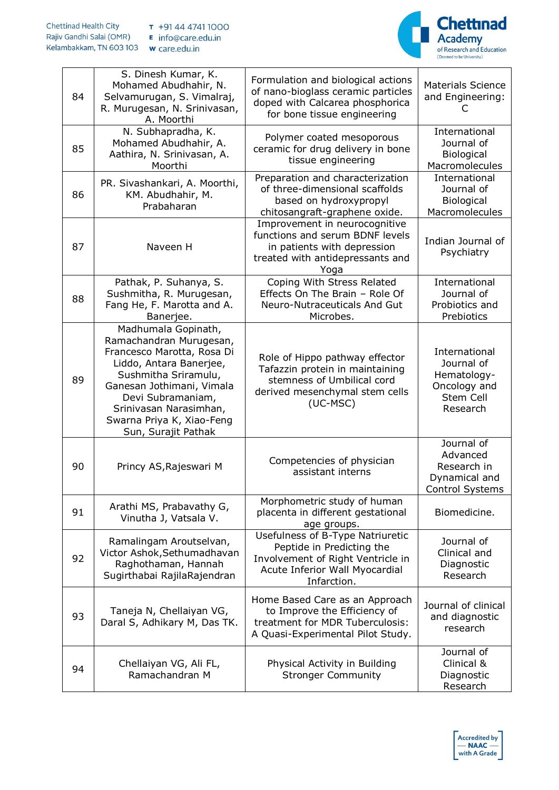

| 84 | S. Dinesh Kumar, K.<br>Mohamed Abudhahir, N.<br>Selvamurugan, S. Vimalraj,<br>R. Murugesan, N. Srinivasan,<br>A. Moorthi                                                                                                                                        | Formulation and biological actions<br>of nano-bioglass ceramic particles<br>doped with Calcarea phosphorica<br>for bone tissue engineering          | <b>Materials Science</b><br>and Engineering:                                        |
|----|-----------------------------------------------------------------------------------------------------------------------------------------------------------------------------------------------------------------------------------------------------------------|-----------------------------------------------------------------------------------------------------------------------------------------------------|-------------------------------------------------------------------------------------|
| 85 | N. Subhapradha, K.<br>Mohamed Abudhahir, A.<br>Aathira, N. Srinivasan, A.<br>Moorthi                                                                                                                                                                            | Polymer coated mesoporous<br>ceramic for drug delivery in bone<br>tissue engineering                                                                | International<br>Journal of<br><b>Biological</b><br>Macromolecules                  |
| 86 | PR. Sivashankari, A. Moorthi,<br>KM. Abudhahir, M.<br>Prabaharan                                                                                                                                                                                                | Preparation and characterization<br>of three-dimensional scaffolds<br>based on hydroxypropyl<br>chitosangraft-graphene oxide.                       | International<br>Journal of<br><b>Biological</b><br>Macromolecules                  |
| 87 | Naveen H                                                                                                                                                                                                                                                        | Improvement in neurocognitive<br>functions and serum BDNF levels<br>in patients with depression<br>treated with antidepressants and<br>Yoga         | Indian Journal of<br>Psychiatry                                                     |
| 88 | Pathak, P. Suhanya, S.<br>Sushmitha, R. Murugesan,<br>Fang He, F. Marotta and A.<br>Banerjee.                                                                                                                                                                   | Coping With Stress Related<br>Effects On The Brain - Role Of<br>Neuro-Nutraceuticals And Gut<br>Microbes.                                           | International<br>Journal of<br>Probiotics and<br>Prebiotics                         |
| 89 | Madhumala Gopinath,<br>Ramachandran Murugesan,<br>Francesco Marotta, Rosa Di<br>Liddo, Antara Banerjee,<br>Sushmitha Sriramulu,<br>Ganesan Jothimani, Vimala<br>Devi Subramaniam,<br>Srinivasan Narasimhan,<br>Swarna Priya K, Xiao-Feng<br>Sun, Surajit Pathak | Role of Hippo pathway effector<br>Tafazzin protein in maintaining<br>stemness of Umbilical cord<br>derived mesenchymal stem cells<br>(UC-MSC)       | International<br>Journal of<br>Hematology-<br>Oncology and<br>Stem Cell<br>Research |
| 90 | Princy AS, Rajeswari M                                                                                                                                                                                                                                          | Competencies of physician<br>assistant interns                                                                                                      | Journal of<br>Advanced<br>Research in<br>Dynamical and<br><b>Control Systems</b>    |
| 91 | Arathi MS, Prabavathy G,<br>Vinutha J, Vatsala V.                                                                                                                                                                                                               | Morphometric study of human<br>placenta in different gestational<br>age groups.                                                                     | Biomedicine.                                                                        |
| 92 | Ramalingam Aroutselvan,<br>Victor Ashok, Sethumadhavan<br>Raghothaman, Hannah<br>Sugirthabai RajilaRajendran                                                                                                                                                    | Usefulness of B-Type Natriuretic<br>Peptide in Predicting the<br>Involvement of Right Ventricle in<br>Acute Inferior Wall Myocardial<br>Infarction. | Journal of<br>Clinical and<br>Diagnostic<br>Research                                |
| 93 | Taneja N, Chellaiyan VG,<br>Daral S, Adhikary M, Das TK.                                                                                                                                                                                                        | Home Based Care as an Approach<br>to Improve the Efficiency of<br>treatment for MDR Tuberculosis:<br>A Quasi-Experimental Pilot Study.              | Journal of clinical<br>and diagnostic<br>research                                   |
| 94 | Chellaiyan VG, Ali FL,<br>Ramachandran M                                                                                                                                                                                                                        | Physical Activity in Building<br><b>Stronger Community</b>                                                                                          | Journal of<br>Clinical &<br>Diagnostic<br>Research                                  |

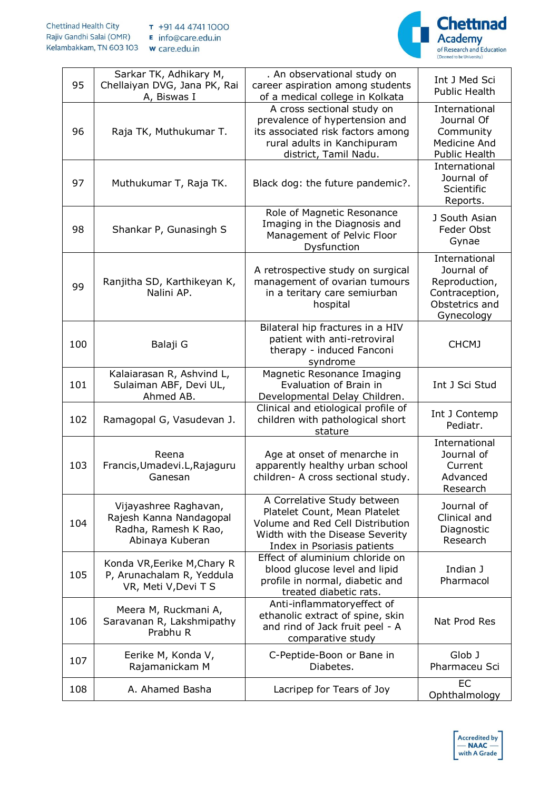

| 95  | Sarkar TK, Adhikary M,<br>Chellaiyan DVG, Jana PK, Rai<br>A, Biswas I                       | . An observational study on<br>career aspiration among students<br>of a medical college in Kolkata                                                                 | Int J Med Sci<br><b>Public Health</b>                                                          |
|-----|---------------------------------------------------------------------------------------------|--------------------------------------------------------------------------------------------------------------------------------------------------------------------|------------------------------------------------------------------------------------------------|
| 96  | Raja TK, Muthukumar T.                                                                      | A cross sectional study on<br>prevalence of hypertension and<br>its associated risk factors among<br>rural adults in Kanchipuram<br>district, Tamil Nadu.          | International<br>Journal Of<br>Community<br>Medicine And<br><b>Public Health</b>               |
| 97  | Muthukumar T, Raja TK.                                                                      | Black dog: the future pandemic?.                                                                                                                                   | International<br>Journal of<br>Scientific<br>Reports.                                          |
| 98  | Shankar P, Gunasingh S                                                                      | Role of Magnetic Resonance<br>Imaging in the Diagnosis and<br>Management of Pelvic Floor<br>Dysfunction                                                            | J South Asian<br>Feder Obst<br>Gynae                                                           |
| 99  | Ranjitha SD, Karthikeyan K,<br>Nalini AP.                                                   | A retrospective study on surgical<br>management of ovarian tumours<br>in a teritary care semiurban<br>hospital                                                     | International<br>Journal of<br>Reproduction,<br>Contraception,<br>Obstetrics and<br>Gynecology |
| 100 | Balaji G                                                                                    | Bilateral hip fractures in a HIV<br>patient with anti-retroviral<br>therapy - induced Fanconi<br>syndrome                                                          | <b>CHCMJ</b>                                                                                   |
| 101 | Kalaiarasan R, Ashvind L,<br>Sulaiman ABF, Devi UL,<br>Ahmed AB.                            | Magnetic Resonance Imaging<br>Evaluation of Brain in<br>Developmental Delay Children.                                                                              | Int J Sci Stud                                                                                 |
| 102 | Ramagopal G, Vasudevan J.                                                                   | Clinical and etiological profile of<br>children with pathological short<br>stature                                                                                 | Int J Contemp<br>Pediatr.                                                                      |
| 103 | Reena<br>Francis, Umadevi. L, Rajaguru<br>Ganesan                                           | Age at onset of menarche in<br>apparently healthy urban school<br>children- A cross sectional study.                                                               | International<br>Journal of<br>Current<br>Advanced<br>Research                                 |
| 104 | Vijayashree Raghavan,<br>Rajesh Kanna Nandagopal<br>Radha, Ramesh K Rao,<br>Abinaya Kuberan | A Correlative Study between<br>Platelet Count, Mean Platelet<br>Volume and Red Cell Distribution<br>Width with the Disease Severity<br>Index in Psoriasis patients | Journal of<br>Clinical and<br>Diagnostic<br>Research                                           |
| 105 | Konda VR, Eerike M, Chary R<br>P, Arunachalam R, Yeddula<br>VR, Meti V, Devi T S            | Effect of aluminium chloride on<br>blood glucose level and lipid<br>profile in normal, diabetic and<br>treated diabetic rats.                                      | Indian J<br>Pharmacol                                                                          |
| 106 | Meera M, Ruckmani A,<br>Saravanan R, Lakshmipathy<br>Prabhu R                               | Anti-inflammatoryeffect of<br>ethanolic extract of spine, skin<br>and rind of Jack fruit peel - A<br>comparative study                                             | Nat Prod Res                                                                                   |
| 107 | Eerike M, Konda V,<br>Rajamanickam M                                                        | C-Peptide-Boon or Bane in<br>Diabetes.                                                                                                                             | Glob J<br>Pharmaceu Sci                                                                        |
| 108 | A. Ahamed Basha                                                                             | Lacripep for Tears of Joy                                                                                                                                          | <b>EC</b><br>Ophthalmology                                                                     |

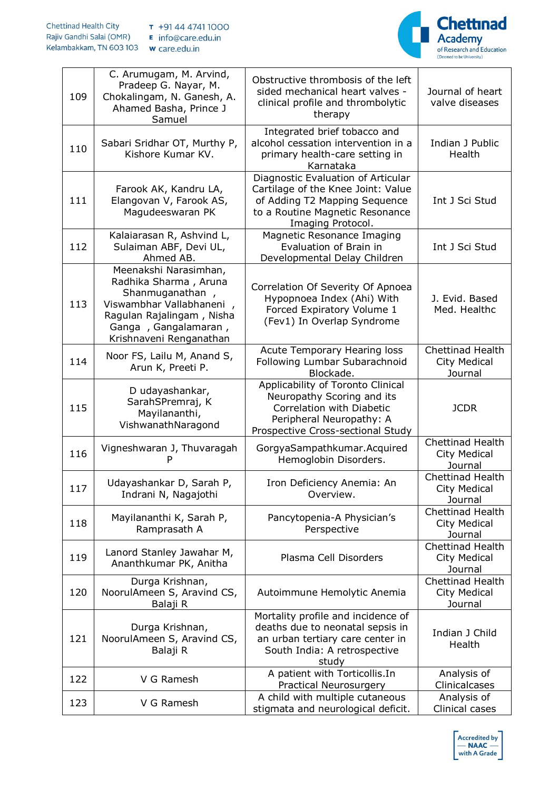## **Chettinad Health City** T +91 44 4741 1000 Rajiv Gandhi Salai (OMR) E info@care.edu.in Kelambakkam, TN 603 103 w care.edu.in



| 109 | C. Arumugam, M. Arvind,<br>Pradeep G. Nayar, M.<br>Chokalingam, N. Ganesh, A.<br>Ahamed Basha, Prince J<br>Samuel                                                             | Obstructive thrombosis of the left<br>sided mechanical heart valves -<br>clinical profile and thrombolytic<br>therapy                                             | Journal of heart<br>valve diseases                 |
|-----|-------------------------------------------------------------------------------------------------------------------------------------------------------------------------------|-------------------------------------------------------------------------------------------------------------------------------------------------------------------|----------------------------------------------------|
| 110 | Sabari Sridhar OT, Murthy P,<br>Kishore Kumar KV.                                                                                                                             | Integrated brief tobacco and<br>alcohol cessation intervention in a<br>primary health-care setting in<br>Karnataka                                                | Indian J Public<br>Health                          |
| 111 | Farook AK, Kandru LA,<br>Elangovan V, Farook AS,<br>Magudeeswaran PK                                                                                                          | Diagnostic Evaluation of Articular<br>Cartilage of the Knee Joint: Value<br>of Adding T2 Mapping Sequence<br>to a Routine Magnetic Resonance<br>Imaging Protocol. | Int J Sci Stud                                     |
| 112 | Kalaiarasan R, Ashvind L,<br>Sulaiman ABF, Devi UL,<br>Ahmed AB.                                                                                                              | Magnetic Resonance Imaging<br>Evaluation of Brain in<br>Developmental Delay Children                                                                              | Int J Sci Stud                                     |
| 113 | Meenakshi Narasimhan,<br>Radhika Sharma, Aruna<br>Shanmuganathan,<br>Viswambhar Vallabhaneni,<br>Ragulan Rajalingam, Nisha<br>Ganga, Gangalamaran,<br>Krishnaveni Renganathan | Correlation Of Severity Of Apnoea<br>Hypopnoea Index (Ahi) With<br>Forced Expiratory Volume 1<br>(Fev1) In Overlap Syndrome                                       | J. Evid. Based<br>Med. Healthc                     |
| 114 | Noor FS, Lailu M, Anand S,<br>Arun K, Preeti P.                                                                                                                               | Acute Temporary Hearing loss<br>Following Lumbar Subarachnoid<br>Blockade.                                                                                        | Chettinad Health<br>City Medical<br>Journal        |
| 115 | D udayashankar,<br>SarahSPremraj, K<br>Mayilananthi,<br>VishwanathNaragond                                                                                                    | Applicability of Toronto Clinical<br>Neuropathy Scoring and its<br>Correlation with Diabetic<br>Peripheral Neuropathy: A<br>Prospective Cross-sectional Study     | <b>JCDR</b>                                        |
| 116 | Vigneshwaran J, Thuvaragah<br>Р                                                                                                                                               | GorgyaSampathkumar.Acquired<br>Hemoglobin Disorders.                                                                                                              | Chettinad Health<br>City Medical<br>Journal        |
| 117 | Udayashankar D, Sarah P,<br>Indrani N, Nagajothi                                                                                                                              | Iron Deficiency Anemia: An<br>Overview.                                                                                                                           | Chettinad Health<br>City Medical<br>Journal        |
| 118 | Mayilananthi K, Sarah P,<br>Ramprasath A                                                                                                                                      | Pancytopenia-A Physician's<br>Perspective                                                                                                                         | <b>Chettinad Health</b><br>City Medical<br>Journal |
| 119 | Lanord Stanley Jawahar M,<br>Ananthkumar PK, Anitha                                                                                                                           | Plasma Cell Disorders                                                                                                                                             | <b>Chettinad Health</b><br>City Medical<br>Journal |
| 120 | Durga Krishnan,<br>NoorulAmeen S, Aravind CS,<br>Balaji R                                                                                                                     | Autoimmune Hemolytic Anemia                                                                                                                                       | Chettinad Health<br>City Medical<br>Journal        |
| 121 | Durga Krishnan,<br>NoorulAmeen S, Aravind CS,<br>Balaji R                                                                                                                     | Mortality profile and incidence of<br>deaths due to neonatal sepsis in<br>an urban tertiary care center in<br>South India: A retrospective<br>study               | Indian J Child<br>Health                           |
| 122 | V G Ramesh                                                                                                                                                                    | A patient with Torticollis.In<br>Practical Neurosurgery                                                                                                           | Analysis of<br>Clinicalcases                       |
| 123 | V G Ramesh                                                                                                                                                                    | A child with multiple cutaneous<br>stigmata and neurological deficit.                                                                                             | Analysis of<br>Clinical cases                      |

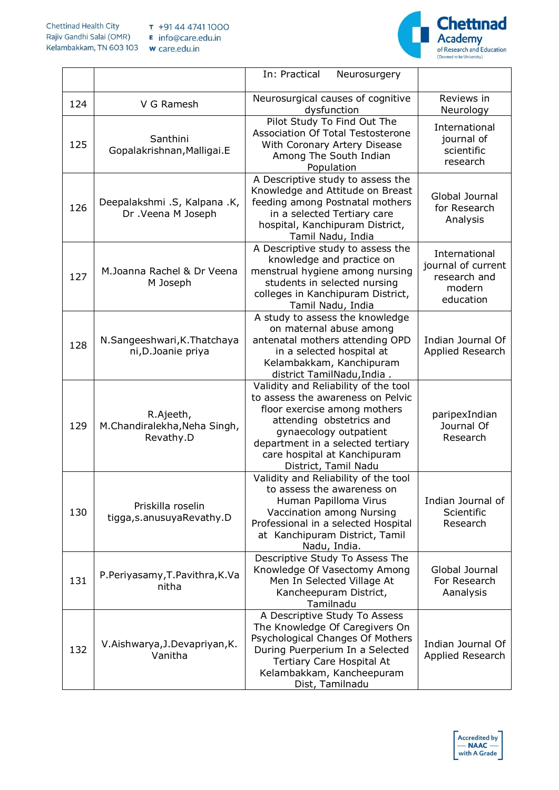

|     |                                                        | In: Practical<br>Neurosurgery                                                                                                                                                                                                                                |                                                                            |
|-----|--------------------------------------------------------|--------------------------------------------------------------------------------------------------------------------------------------------------------------------------------------------------------------------------------------------------------------|----------------------------------------------------------------------------|
| 124 | V G Ramesh                                             | Neurosurgical causes of cognitive<br>dysfunction                                                                                                                                                                                                             | Reviews in<br>Neurology                                                    |
| 125 | Santhini<br>Gopalakrishnan, Malligai.E                 | Pilot Study To Find Out The<br>Association Of Total Testosterone<br>With Coronary Artery Disease<br>Among The South Indian<br>Population                                                                                                                     | International<br>journal of<br>scientific<br>research                      |
| 126 | Deepalakshmi .S, Kalpana .K,<br>Dr. Veena M Joseph     | A Descriptive study to assess the<br>Knowledge and Attitude on Breast<br>feeding among Postnatal mothers<br>in a selected Tertiary care<br>hospital, Kanchipuram District,<br>Tamil Nadu, India                                                              | Global Journal<br>for Research<br>Analysis                                 |
| 127 | M.Joanna Rachel & Dr Veena<br>M Joseph                 | A Descriptive study to assess the<br>knowledge and practice on<br>menstrual hygiene among nursing<br>students in selected nursing<br>colleges in Kanchipuram District,<br>Tamil Nadu, India                                                                  | International<br>journal of current<br>research and<br>modern<br>education |
| 128 | N.Sangeeshwari, K.Thatchaya<br>ni, D. Joanie priya     | A study to assess the knowledge<br>on maternal abuse among<br>antenatal mothers attending OPD<br>in a selected hospital at<br>Kelambakkam, Kanchipuram<br>district TamilNadu, India.                                                                         | Indian Journal Of<br>Applied Research                                      |
| 129 | R.Ajeeth,<br>M.Chandiralekha, Neha Singh,<br>Revathy.D | Validity and Reliability of the tool<br>to assess the awareness on Pelvic<br>floor exercise among mothers<br>attending obstetrics and<br>gynaecology outpatient<br>department in a selected tertiary<br>care hospital at Kanchipuram<br>District, Tamil Nadu | paripexIndian<br>Journal Of<br>Research                                    |
| 130 | Priskilla roselin<br>tigga, s.anusuyaRevathy.D         | Validity and Reliability of the tool<br>to assess the awareness on<br>Human Papilloma Virus<br>Vaccination among Nursing<br>Professional in a selected Hospital<br>at Kanchipuram District, Tamil<br>Nadu, India.                                            | Indian Journal of<br>Scientific<br>Research                                |
| 131 | P.Periyasamy, T.Pavithra, K.Va<br>nitha                | Descriptive Study To Assess The<br>Knowledge Of Vasectomy Among<br>Men In Selected Village At<br>Kancheepuram District,<br>Tamilnadu                                                                                                                         | Global Journal<br>For Research<br>Aanalysis                                |
| 132 | V.Aishwarya, J.Devapriyan, K.<br>Vanitha               | A Descriptive Study To Assess<br>The Knowledge Of Caregivers On<br>Psychological Changes Of Mothers<br>During Puerperium In a Selected<br>Tertiary Care Hospital At<br>Kelambakkam, Kancheepuram<br>Dist, Tamilnadu                                          | Indian Journal Of<br>Applied Research                                      |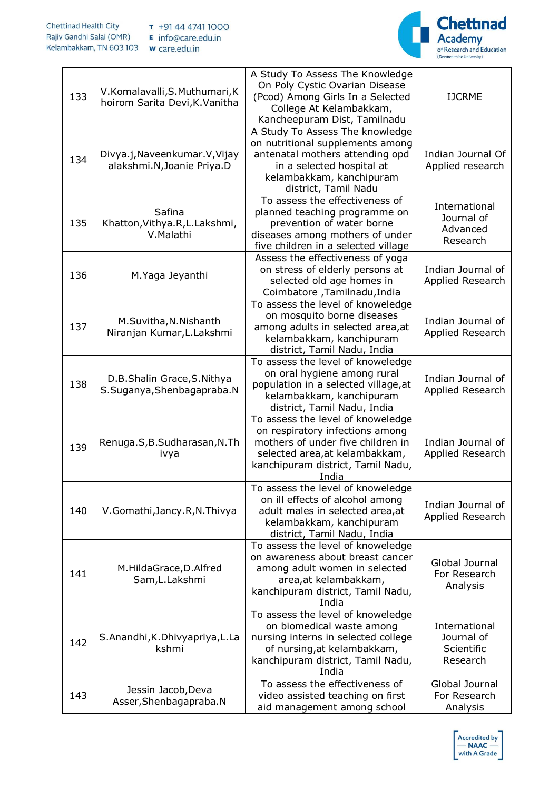

| 133 | V.Komalavalli, S.Muthumari, K<br>hoirom Sarita Devi, K. Vanitha | A Study To Assess The Knowledge<br>On Poly Cystic Ovarian Disease<br>(Pcod) Among Girls In a Selected<br>College At Kelambakkam,<br>Kancheepuram Dist, Tamilnadu                          | <b>IJCRME</b>                                         |
|-----|-----------------------------------------------------------------|-------------------------------------------------------------------------------------------------------------------------------------------------------------------------------------------|-------------------------------------------------------|
| 134 | Divya.j, Naveenkumar. V, Vijay<br>alakshmi.N, Joanie Priya.D    | A Study To Assess The knowledge<br>on nutritional supplements among<br>antenatal mothers attending opd<br>in a selected hospital at<br>kelambakkam, kanchipuram<br>district, Tamil Nadu   | Indian Journal Of<br>Applied research                 |
| 135 | Safina<br>Khatton, Vithya.R, L.Lakshmi,<br>V.Malathi            | To assess the effectiveness of<br>planned teaching programme on<br>prevention of water borne<br>diseases among mothers of under<br>five children in a selected village                    | International<br>Journal of<br>Advanced<br>Research   |
| 136 | M.Yaga Jeyanthi                                                 | Assess the effectiveness of yoga<br>on stress of elderly persons at<br>selected old age homes in<br>Coimbatore, Tamilnadu, India                                                          | Indian Journal of<br>Applied Research                 |
| 137 | M.Suvitha, N.Nishanth<br>Niranjan Kumar, L. Lakshmi             | To assess the level of knoweledge<br>on mosquito borne diseases<br>among adults in selected area, at<br>kelambakkam, kanchipuram<br>district, Tamil Nadu, India                           | Indian Journal of<br>Applied Research                 |
| 138 | D.B.Shalin Grace, S.Nithya<br>S.Suganya, Shenbagapraba.N        | To assess the level of knoweledge<br>on oral hygiene among rural<br>population in a selected village, at<br>kelambakkam, kanchipuram<br>district, Tamil Nadu, India                       | Indian Journal of<br>Applied Research                 |
| 139 | Renuga.S, B.Sudharasan, N.Th<br>ivya                            | To assess the level of knoweledge<br>on respiratory infections among<br>mothers of under five children in<br>selected area, at kelambakkam,<br>kanchipuram district, Tamil Nadu,<br>India | Indian Journal of<br>Applied Research                 |
| 140 | V.Gomathi, Jancy.R, N.Thivya                                    | To assess the level of knoweledge<br>on ill effects of alcohol among<br>adult males in selected area, at<br>kelambakkam, kanchipuram<br>district, Tamil Nadu, India                       | Indian Journal of<br>Applied Research                 |
| 141 | M.HildaGrace, D.Alfred<br>Sam, L. Lakshmi                       | To assess the level of knoweledge<br>on awareness about breast cancer<br>among adult women in selected<br>area, at kelambakkam,<br>kanchipuram district, Tamil Nadu,<br>India             | Global Journal<br>For Research<br>Analysis            |
| 142 | S.Anandhi, K.Dhivyapriya, L.La<br>kshmi                         | To assess the level of knoweledge<br>on biomedical waste among<br>nursing interns in selected college<br>of nursing, at kelambakkam,<br>kanchipuram district, Tamil Nadu,<br>India        | International<br>Journal of<br>Scientific<br>Research |
| 143 | Jessin Jacob, Deva<br>Asser, Shenbagapraba.N                    | To assess the effectiveness of<br>video assisted teaching on first<br>aid management among school                                                                                         | Global Journal<br>For Research<br>Analysis            |

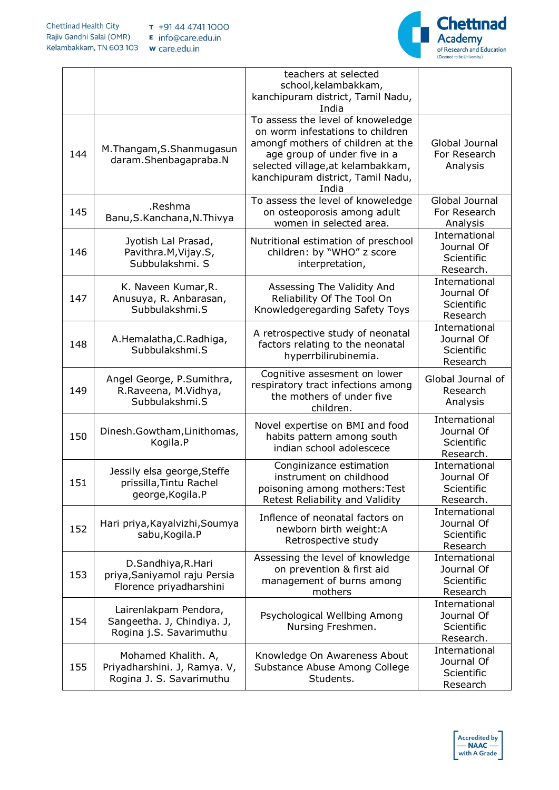

٦

|     |                                                                                 | teachers at selected<br>school, kelambakkam,<br>kanchipuram district, Tamil Nadu,<br>India                                                                                                                                    |                                                        |
|-----|---------------------------------------------------------------------------------|-------------------------------------------------------------------------------------------------------------------------------------------------------------------------------------------------------------------------------|--------------------------------------------------------|
| 144 | M.Thangam, S.Shanmugasun<br>daram.Shenbagapraba.N                               | To assess the level of knoweledge<br>on worm infestations to children<br>amongf mothers of children at the<br>age group of under five in a<br>selected village, at kelambakkam,<br>kanchipuram district, Tamil Nadu,<br>India | Global Journal<br>For Research<br>Analysis             |
| 145 | .Reshma<br>Banu, S. Kanchana, N. Thivya                                         | To assess the level of knoweledge<br>on osteoporosis among adult<br>women in selected area.                                                                                                                                   | Global Journal<br>For Research<br>Analysis             |
| 146 | Jyotish Lal Prasad,<br>Pavithra.M, Vijay.S,<br>Subbulakshmi, S                  | Nutritional estimation of preschool<br>children: by "WHO" z score<br>interpretation,                                                                                                                                          | International<br>Journal Of<br>Scientific<br>Research. |
| 147 | K. Naveen Kumar, R.<br>Anusuya, R. Anbarasan,<br>Subbulakshmi.S                 | Assessing The Validity And<br>Reliability Of The Tool On<br>Knowledgeregarding Safety Toys                                                                                                                                    | International<br>Journal Of<br>Scientific<br>Research  |
| 148 | A.Hemalatha, C.Radhiga,<br>Subbulakshmi.S                                       | A retrospective study of neonatal<br>factors relating to the neonatal<br>hyperrbilirubinemia.                                                                                                                                 | International<br>Journal Of<br>Scientific<br>Research  |
| 149 | Angel George, P.Sumithra,<br>R.Raveena, M.Vidhya,<br>Subbulakshmi.S             | Cognitive assesment on lower<br>respiratory tract infections among<br>the mothers of under five<br>children.                                                                                                                  | Global Journal of<br>Research<br>Analysis              |
| 150 | Dinesh.Gowtham,Linithomas,<br>Kogila.P                                          | Novel expertise on BMI and food<br>habits pattern among south<br>indian school adolescece                                                                                                                                     | International<br>Journal Of<br>Scientific<br>Research. |
| 151 | Jessily elsa george, Steffe<br>prissilla, Tintu Rachel<br>george, Kogila.P      | Conginizance estimation<br>instrument on childhood<br>poisoning among mothers: Test<br>Retest Reliability and Validity                                                                                                        | International<br>Journal Of<br>Scientific<br>Research. |
| 152 | Hari priya, Kayalvizhi, Soumya<br>sabu, Kogila.P                                | Inflence of neonatal factors on<br>newborn birth weight:A<br>Retrospective study                                                                                                                                              | International<br>Journal Of<br>Scientific<br>Research  |
| 153 | D.Sandhiya, R.Hari<br>priya, Saniyamol raju Persia<br>Florence priyadharshini   | Assessing the level of knowledge<br>on prevention & first aid<br>management of burns among<br>mothers                                                                                                                         | International<br>Journal Of<br>Scientific<br>Research  |
| 154 | Lairenlakpam Pendora,<br>Sangeetha. J, Chindiya. J,<br>Rogina j.S. Savarimuthu  | Psychological Wellbing Among<br>Nursing Freshmen.                                                                                                                                                                             | International<br>Journal Of<br>Scientific<br>Research. |
| 155 | Mohamed Khalith. A,<br>Priyadharshini. J, Ramya. V,<br>Rogina J. S. Savarimuthu | Knowledge On Awareness About<br>Substance Abuse Among College<br>Students.                                                                                                                                                    | International<br>Journal Of<br>Scientific<br>Research  |

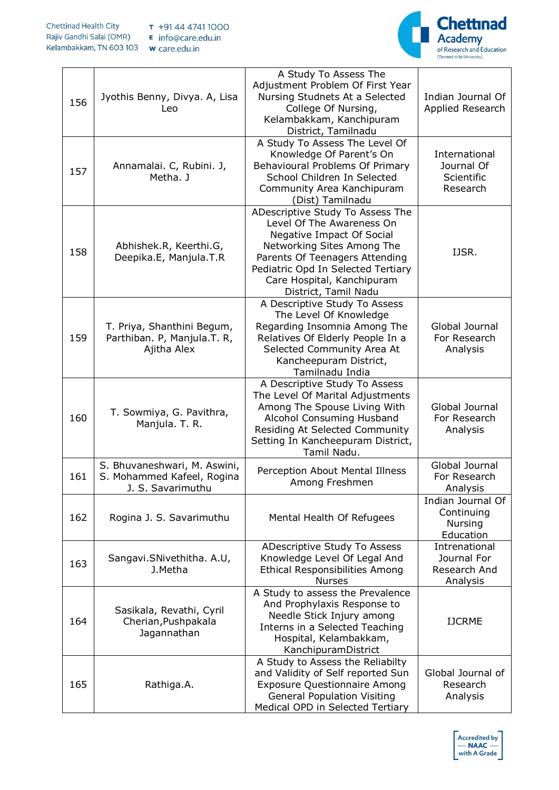

٦

| 156 | Jyothis Benny, Divya. A, Lisa<br>Leo                                            | A Study To Assess The<br>Adjustment Problem Of First Year<br>Nursing Studnets At a Selected<br>College Of Nursing,<br>Kelambakkam, Kanchipuram<br>District, Tamilnadu                                                                                  | Indian Journal Of<br>Applied Research                          |
|-----|---------------------------------------------------------------------------------|--------------------------------------------------------------------------------------------------------------------------------------------------------------------------------------------------------------------------------------------------------|----------------------------------------------------------------|
| 157 | Annamalai. C, Rubini. J,<br>Metha. J                                            | A Study To Assess The Level Of<br>Knowledge Of Parent's On<br>Behavioural Problems Of Primary<br>School Children In Selected<br>Community Area Kanchipuram<br>(Dist) Tamilnadu                                                                         | International<br>Journal Of<br>Scientific<br>Research          |
| 158 | Abhishek.R, Keerthi.G,<br>Deepika.E, Manjula.T.R                                | ADescriptive Study To Assess The<br>Level Of The Awareness On<br>Negative Impact Of Social<br>Networking Sites Among The<br>Parents Of Teenagers Attending<br>Pediatric Opd In Selected Tertiary<br>Care Hospital, Kanchipuram<br>District, Tamil Nadu | IJSR.                                                          |
| 159 | T. Priya, Shanthini Begum,<br>Parthiban. P, Manjula.T. R,<br>Ajitha Alex        | A Descriptive Study To Assess<br>The Level Of Knowledge<br>Regarding Insomnia Among The<br>Relatives Of Elderly People In a<br>Selected Community Area At<br>Kancheepuram District,<br>Tamilnadu India                                                 | Global Journal<br>For Research<br>Analysis                     |
| 160 | T. Sowmiya, G. Pavithra,<br>Manjula. T. R.                                      | A Descriptive Study To Assess<br>The Level Of Marital Adjustments<br>Among The Spouse Living With<br>Alcohol Consuming Husband<br>Residing At Selected Community<br>Setting In Kancheepuram District,<br>Tamil Nadu.                                   | Global Journal<br>For Research<br>Analysis                     |
| 161 | S. Bhuvaneshwari, M. Aswini,<br>S. Mohammed Kafeel, Rogina<br>J. S. Savarimuthu | Perception About Mental Illness<br>Among Freshmen                                                                                                                                                                                                      | Global Journal<br>For Research<br>Analysis                     |
| 162 | Rogina J. S. Savarimuthu                                                        | Mental Health Of Refugees                                                                                                                                                                                                                              | Indian Journal Of<br>Continuing<br><b>Nursing</b><br>Education |
| 163 | Sangavi.SNivethitha. A.U,<br>J.Metha                                            | ADescriptive Study To Assess<br>Knowledge Level Of Legal And<br><b>Ethical Responsibilities Among</b><br><b>Nurses</b>                                                                                                                                 | Intrenational<br>Journal For<br>Research And<br>Analysis       |
| 164 | Sasikala, Revathi, Cyril<br>Cherian, Pushpakala<br>Jagannathan                  | A Study to assess the Prevalence<br>And Prophylaxis Response to<br>Needle Stick Injury among<br>Interns in a Selected Teaching<br>Hospital, Kelambakkam,<br>KanchipuramDistrict                                                                        | <b>IJCRME</b>                                                  |
| 165 | Rathiga.A.                                                                      | A Study to Assess the Reliabilty<br>and Validity of Self reported Sun<br><b>Exposure Questionnaire Among</b><br><b>General Population Visiting</b><br>Medical OPD in Selected Tertiary                                                                 | Global Journal of<br>Research<br>Analysis                      |